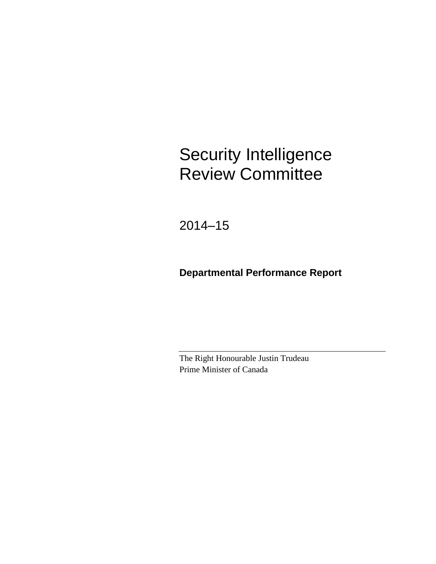# Security Intelligence Review Committee

2014–15

## **Departmental Performance Report**

The Right Honourable Justin Trudeau Prime Minister of Canada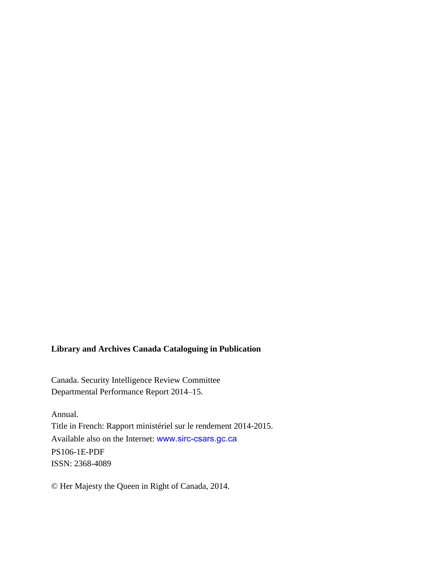#### **Library and Archives Canada Cataloguing in Publication**

Canada. Security Intelligence Review Committee Departmental Performance Report 2014–15.

Annual. Title in French: Rapport ministériel sur le rendement 2014-2015. Available also on the Internet: [www.sirc-csars.gc.ca](http://www.sirc-csars.gc.ca/) PS106-1E-PDF ISSN: 2368-4089

© Her Majesty the Queen in Right of Canada, 2014.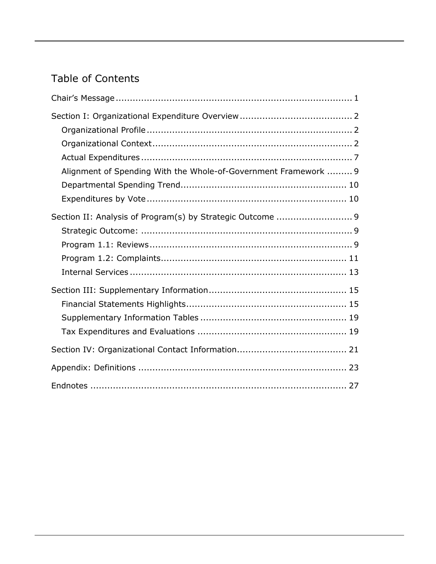## Table of Contents

| Alignment of Spending With the Whole-of-Government Framework  9 |  |
|-----------------------------------------------------------------|--|
|                                                                 |  |
|                                                                 |  |
| Section II: Analysis of Program(s) by Strategic Outcome  9      |  |
|                                                                 |  |
|                                                                 |  |
|                                                                 |  |
|                                                                 |  |
|                                                                 |  |
|                                                                 |  |
|                                                                 |  |
|                                                                 |  |
|                                                                 |  |
|                                                                 |  |
|                                                                 |  |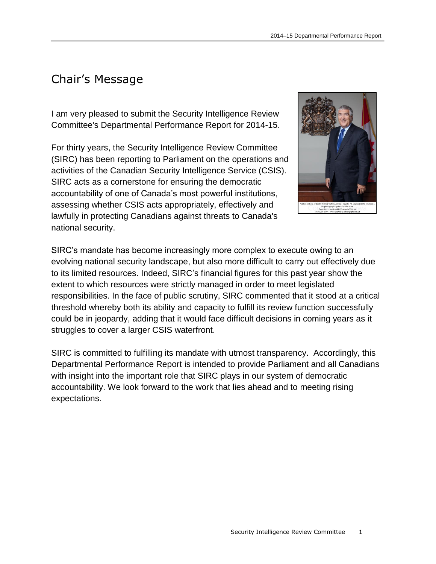## <span id="page-4-0"></span>Chair's Message

I am very pleased to submit the Security Intelligence Review Committee's Departmental Performance Report for 2014-15.

For thirty years, the Security Intelligence Review Committee (SIRC) has been reporting to Parliament on the operations and activities of the Canadian Security Intelligence Service (CSIS). SIRC acts as a cornerstone for ensuring the democratic accountability of one of Canada's most powerful institutions, assessing whether CSIS acts appropriately, effectively and lawfully in protecting Canadians against threats to Canada's national security.



SIRC's mandate has become increasingly more complex to execute owing to an evolving national security landscape, but also more difficult to carry out effectively due to its limited resources. Indeed, SIRC's financial figures for this past year show the extent to which resources were strictly managed in order to meet legislated responsibilities. In the face of public scrutiny, SIRC commented that it stood at a critical threshold whereby both its ability and capacity to fulfill its review function successfully could be in jeopardy, adding that it would face difficult decisions in coming years as it struggles to cover a larger CSIS waterfront.

SIRC is committed to fulfilling its mandate with utmost transparency. Accordingly, this Departmental Performance Report is intended to provide Parliament and all Canadians with insight into the important role that SIRC plays in our system of democratic accountability. We look forward to the work that lies ahead and to meeting rising expectations.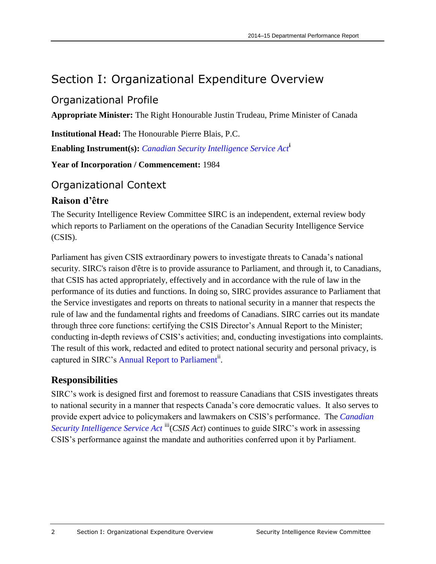## <span id="page-5-0"></span>Section I: Organizational Expenditure Overview

### <span id="page-5-1"></span>Organizational Profile

**Appropriate Minister:** The Right Honourable Justin Trudeau, Prime Minister of Canada

**Institutional Head:** The Honourable Pierre Blais, P.C.

**Enabling Instrument(s):** *[Canadian Security Intelligence Service Act](http://laws-lois.justice.gc.ca/eng/acts/C-23/)***<sup>i</sup>**

**Year of Incorporation / Commencement:** 1984

### <span id="page-5-2"></span>Organizational Context

#### **Raison d'être**

The Security Intelligence Review Committee SIRC is an independent, external review body which reports to Parliament on the operations of the Canadian Security Intelligence Service (CSIS).

Parliament has given CSIS extraordinary powers to investigate threats to Canada's national security. SIRC's raison d'être is to provide assurance to Parliament, and through it, to Canadians, that CSIS has acted appropriately, effectively and in accordance with the rule of law in the performance of its duties and functions. In doing so, SIRC provides assurance to Parliament that the Service investigates and reports on threats to national security in a manner that respects the rule of law and the fundamental rights and freedoms of Canadians. SIRC carries out its mandate through three core functions: certifying the CSIS Director's Annual Report to the Minister; conducting in-depth reviews of CSIS's activities; and, conducting investigations into complaints. The result of this work, redacted and edited to protect national security and personal privacy, is captured in SIRC's [Annual Report to Parliament](http://www.sirc-csars.gc.ca/anrran/index-eng.html)<sup>ii</sup>.

#### **Responsibilities**

SIRC's work is designed first and foremost to reassure Canadians that CSIS investigates threats to national security in a manner that respects Canada's core democratic values. It also serves to provide expert advice to policymakers and lawmakers on CSIS's performance. The *[Canadian](http://laws-lois.justice.gc.ca/eng/acts/C-23/)  [Security Intelligence Service Act](http://laws-lois.justice.gc.ca/eng/acts/C-23/)* <sup>iii</sup>(*CSIS Act*) continues to guide SIRC's work in assessing CSIS's performance against the mandate and authorities conferred upon it by Parliament.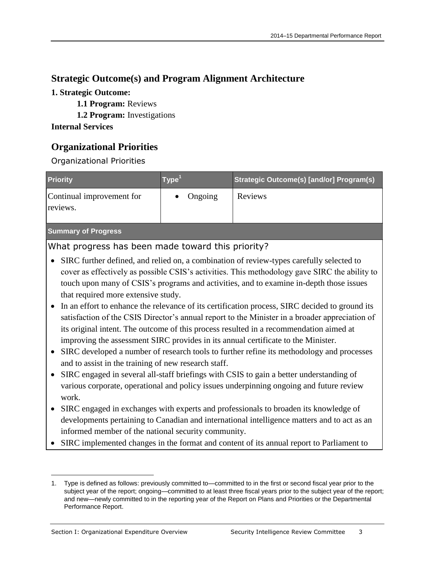#### **Strategic Outcome(s) and Program Alignment Architecture**

#### **1. Strategic Outcome:**

- **1.1 Program:** Reviews
- **1.2 Program:** Investigations

#### **Internal Services**

### **Organizational Priorities**

#### Organizational Priorities

| <b>Priority</b>                       | Type'   | Strategic Outcome(s) [and/or] Program(s) |
|---------------------------------------|---------|------------------------------------------|
| Continual improvement for<br>reviews. | Ongoing | <b>Reviews</b>                           |
| <b>Summary of Progress</b>            |         |                                          |

#### What progress has been made toward this priority?

- SIRC further defined, and relied on, a combination of review-types carefully selected to cover as effectively as possible CSIS's activities. This methodology gave SIRC the ability to touch upon many of CSIS's programs and activities, and to examine in-depth those issues that required more extensive study.
- In an effort to enhance the relevance of its certification process, SIRC decided to ground its satisfaction of the CSIS Director's annual report to the Minister in a broader appreciation of its original intent. The outcome of this process resulted in a recommendation aimed at improving the assessment SIRC provides in its annual certificate to the Minister.
- SIRC developed a number of research tools to further refine its methodology and processes and to assist in the training of new research staff.
- SIRC engaged in several all-staff briefings with CSIS to gain a better understanding of various corporate, operational and policy issues underpinning ongoing and future review work.
- SIRC engaged in exchanges with experts and professionals to broaden its knowledge of developments pertaining to Canadian and international intelligence matters and to act as an informed member of the national security community.
- SIRC implemented changes in the format and content of its annual report to Parliament to

 $\overline{a}$ 1. Type is defined as follows: previously committed to—committed to in the first or second fiscal year prior to the subject year of the report; ongoing—committed to at least three fiscal years prior to the subject year of the report; and new—newly committed to in the reporting year of the Report on Plans and Priorities or the Departmental Performance Report.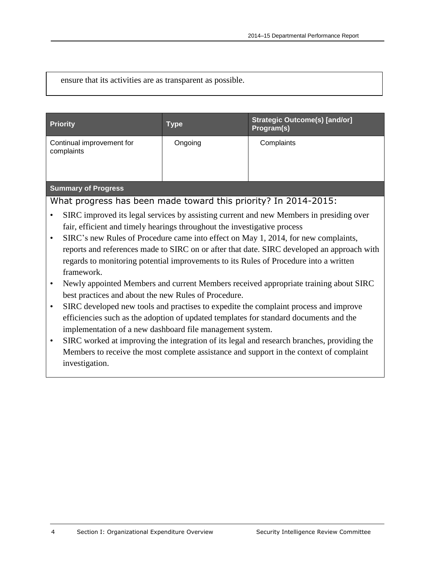ensure that its activities are as transparent as possible.

| <b>Priority</b>                                                                            | <b>Type</b>                                                                        | <b>Strategic Outcome(s) [and/or]</b><br>Program(s)                                      |  |  |  |
|--------------------------------------------------------------------------------------------|------------------------------------------------------------------------------------|-----------------------------------------------------------------------------------------|--|--|--|
| Continual improvement for<br>complaints                                                    | Ongoing                                                                            | Complaints                                                                              |  |  |  |
| <b>Summary of Progress</b>                                                                 |                                                                                    |                                                                                         |  |  |  |
| What progress has been made toward this priority? In 2014-2015:                            |                                                                                    |                                                                                         |  |  |  |
|                                                                                            |                                                                                    | SIRC improved its legal services by assisting current and new Members in presiding over |  |  |  |
| fair, efficient and timely hearings throughout the investigative process                   |                                                                                    |                                                                                         |  |  |  |
| ٠                                                                                          | SIRC's new Rules of Procedure came into effect on May 1, 2014, for new complaints, |                                                                                         |  |  |  |
| reports and references made to SIRC on or after that date. SIRC developed an approach with |                                                                                    |                                                                                         |  |  |  |
| regards to monitoring potential improvements to its Rules of Procedure into a written      |                                                                                    |                                                                                         |  |  |  |
| framework.                                                                                 |                                                                                    |                                                                                         |  |  |  |
| Newly appointed Members and current Members received appropriate training about SIRC       |                                                                                    |                                                                                         |  |  |  |

- best practices and about the new Rules of Procedure.
- SIRC developed new tools and practises to expedite the complaint process and improve efficiencies such as the adoption of updated templates for standard documents and the implementation of a new dashboard file management system.
- SIRC worked at improving the integration of its legal and research branches, providing the Members to receive the most complete assistance and support in the context of complaint investigation.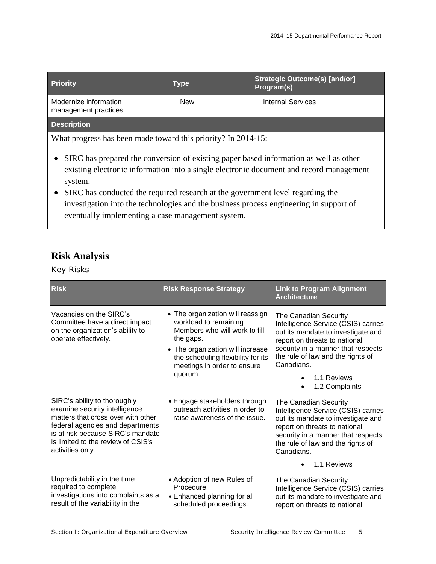| <b>Priority</b>                                | <b>Type</b> | <b>Strategic Outcome(s) [and/or]</b><br>Program(s) |
|------------------------------------------------|-------------|----------------------------------------------------|
| Modernize information<br>management practices. | <b>New</b>  | Internal Services                                  |
| <b>Description</b>                             |             |                                                    |

What progress has been made toward this priority? In 2014-15:

- SIRC has prepared the conversion of existing paper based information as well as other existing electronic information into a single electronic document and record management system.
- SIRC has conducted the required research at the government level regarding the investigation into the technologies and the business process engineering in support of eventually implementing a case management system.

#### **Risk Analysis**

Key Risks

| <b>Risk</b>                                                                                                                                                                                                                            | <b>Risk Response Strategy</b>                                                                                                                                                                                               | <b>Link to Program Alignment</b><br><b>Architecture</b>                                                                                                                                                                                                       |
|----------------------------------------------------------------------------------------------------------------------------------------------------------------------------------------------------------------------------------------|-----------------------------------------------------------------------------------------------------------------------------------------------------------------------------------------------------------------------------|---------------------------------------------------------------------------------------------------------------------------------------------------------------------------------------------------------------------------------------------------------------|
| Vacancies on the SIRC's<br>Committee have a direct impact<br>on the organization's ability to<br>operate effectively.                                                                                                                  | • The organization will reassign<br>workload to remaining<br>Members who will work to fill<br>the gaps.<br>• The organization will increase<br>the scheduling flexibility for its<br>meetings in order to ensure<br>quorum. | The Canadian Security<br>Intelligence Service (CSIS) carries<br>out its mandate to investigate and<br>report on threats to national<br>security in a manner that respects<br>the rule of law and the rights of<br>Canadians.<br>1.1 Reviews<br>1.2 Complaints |
| SIRC's ability to thoroughly<br>examine security intelligence<br>matters that cross over with other<br>federal agencies and departments<br>is at risk because SIRC's mandate<br>is limited to the review of CSIS's<br>activities only. | • Engage stakeholders through<br>outreach activities in order to<br>raise awareness of the issue.                                                                                                                           | The Canadian Security<br>Intelligence Service (CSIS) carries<br>out its mandate to investigate and<br>report on threats to national<br>security in a manner that respects<br>the rule of law and the rights of<br>Canadians.<br>1.1 Reviews<br>٠              |
| Unpredictability in the time<br>required to complete<br>investigations into complaints as a<br>result of the variability in the                                                                                                        | • Adoption of new Rules of<br>Procedure.<br>• Enhanced planning for all<br>scheduled proceedings.                                                                                                                           | The Canadian Security<br>Intelligence Service (CSIS) carries<br>out its mandate to investigate and<br>report on threats to national                                                                                                                           |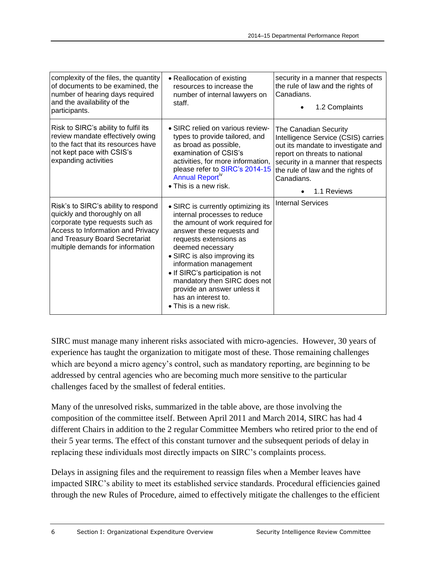| complexity of the files, the quantity<br>of documents to be examined, the<br>number of hearing days required<br>and the availability of the<br>participants.                                                       | • Reallocation of existing<br>resources to increase the<br>number of internal lawyers on<br>staff.                                                                                                                                                                                                                                                                                                    | security in a manner that respects<br>the rule of law and the rights of<br>Canadians.<br>1.2 Complaints                                                                                                                                     |
|--------------------------------------------------------------------------------------------------------------------------------------------------------------------------------------------------------------------|-------------------------------------------------------------------------------------------------------------------------------------------------------------------------------------------------------------------------------------------------------------------------------------------------------------------------------------------------------------------------------------------------------|---------------------------------------------------------------------------------------------------------------------------------------------------------------------------------------------------------------------------------------------|
| Risk to SIRC's ability to fulfil its<br>review mandate effectively owing<br>to the fact that its resources have<br>not kept pace with CSIS's<br>expanding activities                                               | • SIRC relied on various review-<br>types to provide tailored, and<br>as broad as possible,<br>examination of CSIS's<br>activities, for more information,<br>please refer to SIRC's 2014-15<br>Annual Report <sup>IV</sup><br>$\bullet$ This is a new risk.                                                                                                                                           | The Canadian Security<br>Intelligence Service (CSIS) carries<br>out its mandate to investigate and<br>report on threats to national<br>security in a manner that respects<br>the rule of law and the rights of<br>Canadians.<br>1.1 Reviews |
| Risk's to SIRC's ability to respond<br>quickly and thoroughly on all<br>corporate type requests such as<br>Access to Information and Privacy<br>and Treasury Board Secretariat<br>multiple demands for information | • SIRC is currently optimizing its<br>internal processes to reduce<br>the amount of work required for<br>answer these requests and<br>requests extensions as<br>deemed necessary<br>• SIRC is also improving its<br>information management<br>• If SIRC's participation is not<br>mandatory then SIRC does not<br>provide an answer unless it<br>has an interest to.<br>$\bullet$ This is a new risk. | <b>Internal Services</b>                                                                                                                                                                                                                    |

SIRC must manage many inherent risks associated with micro-agencies. However, 30 years of experience has taught the organization to mitigate most of these. Those remaining challenges which are beyond a micro agency's control, such as mandatory reporting, are beginning to be addressed by central agencies who are becoming much more sensitive to the particular challenges faced by the smallest of federal entities.

Many of the unresolved risks, summarized in the table above, are those involving the composition of the committee itself. Between April 2011 and March 2014, SIRC has had 4 different Chairs in addition to the 2 regular Committee Members who retired prior to the end of their 5 year terms. The effect of this constant turnover and the subsequent periods of delay in replacing these individuals most directly impacts on SIRC's complaints process.

Delays in assigning files and the requirement to reassign files when a Member leaves have impacted SIRC's ability to meet its established service standards. Procedural efficiencies gained through the new Rules of Procedure, aimed to effectively mitigate the challenges to the efficient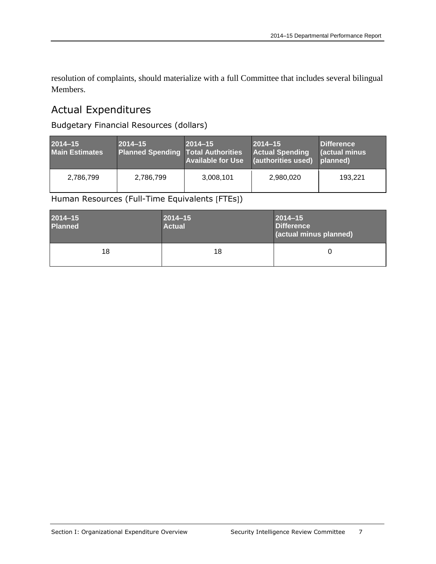resolution of complaints, should materialize with a full Committee that includes several bilingual Members.

## <span id="page-10-0"></span>Actual Expenditures

Budgetary Financial Resources (dollars)

| $2014 - 15$<br><b>Main Estimates</b> | 2014-15<br>Planned Spending Total Authorities | $2014 - 15$<br><b>Available for Use</b> | $2014 - 15$<br><b>Actual Spending</b><br>(authorities used) | Difference<br><b>actual minus</b><br>planned) |
|--------------------------------------|-----------------------------------------------|-----------------------------------------|-------------------------------------------------------------|-----------------------------------------------|
| 2,786,799                            | 2,786,799                                     | 3,008,101                               | 2,980,020                                                   | 193.221                                       |

Human Resources (Full-Time Equivalents [FTEs])

| $2014 - 15$<br><b>Planned</b> | $2014 - 15$<br><b>Actual</b> | $2014 - 15$<br>Difference<br>(actual minus planned) |  |
|-------------------------------|------------------------------|-----------------------------------------------------|--|
| 18                            | 18                           | O                                                   |  |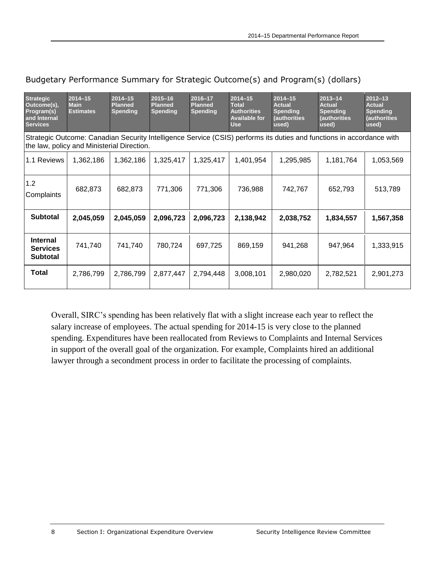| <b>Strategic</b><br>Outcome(s),<br>Program(s)<br>and Internal<br><b>Services</b> | $2014 - 15$<br><b>Main</b><br><b>Estimates</b> | $2014 - 15$<br><b>Planned</b><br><b>Spending</b> | $2015 - 16$<br><b>Planned</b><br><b>Spending</b> | 2016-17<br><b>Planned</b><br><b>Spending</b> | 2014-15<br><b>Total</b><br><b>Authorities</b><br><b>Available for</b><br><b>Use</b> | $2014 - 15$<br><b>Actual</b><br><b>Spending</b><br><b>(authorities</b><br>used) | $2013 - 14$<br><b>Actual</b><br><b>Spending</b><br>(authorities<br>used)                                              | $2012 - 13$<br>Actual<br><b>Spending</b><br>(authorities<br>used) |
|----------------------------------------------------------------------------------|------------------------------------------------|--------------------------------------------------|--------------------------------------------------|----------------------------------------------|-------------------------------------------------------------------------------------|---------------------------------------------------------------------------------|-----------------------------------------------------------------------------------------------------------------------|-------------------------------------------------------------------|
|                                                                                  | the law, policy and Ministerial Direction.     |                                                  |                                                  |                                              |                                                                                     |                                                                                 | Strategic Outcome: Canadian Security Intelligence Service (CSIS) performs its duties and functions in accordance with |                                                                   |
| 1.1 Reviews                                                                      | 1,362,186                                      | 1,362,186                                        | 1,325,417                                        | 1,325,417                                    | 1,401,954                                                                           | 1,295,985                                                                       | 1,181,764                                                                                                             | 1,053,569                                                         |
| 1.2<br>Complaints                                                                | 682,873                                        | 682,873                                          | 771,306                                          | 771,306                                      | 736,988                                                                             | 742,767                                                                         | 652,793                                                                                                               | 513,789                                                           |
| <b>Subtotal</b>                                                                  | 2,045,059                                      | 2,045,059                                        | 2,096,723                                        | 2,096,723                                    | 2,138,942                                                                           | 2,038,752                                                                       | 1,834,557                                                                                                             | 1,567,358                                                         |
| <b>Internal</b><br><b>Services</b><br><b>Subtotal</b>                            | 741,740                                        | 741,740                                          | 780,724                                          | 697,725                                      | 869,159                                                                             | 941,268                                                                         | 947,964                                                                                                               | 1,333,915                                                         |
| <b>Total</b>                                                                     | 2,786,799                                      | 2,786,799                                        | 2,877,447                                        | 2,794,448                                    | 3,008,101                                                                           | 2,980,020                                                                       | 2,782,521                                                                                                             | 2,901,273                                                         |

#### Budgetary Performance Summary for Strategic Outcome(s) and Program(s) (dollars)

Overall, SIRC's spending has been relatively flat with a slight increase each year to reflect the salary increase of employees. The actual spending for 2014-15 is very close to the planned spending. Expenditures have been reallocated from Reviews to Complaints and Internal Services in support of the overall goal of the organization. For example, Complaints hired an additional lawyer through a secondment process in order to facilitate the processing of complaints.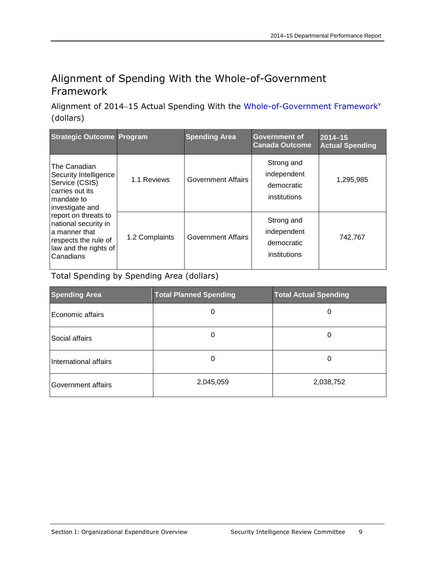## <span id="page-12-0"></span>Alignment of Spending With the Whole-of-Government Framework

Alignment of 2014-15 Actual Spending With the [Whole-of-Government](http://www.tbs-sct.gc.ca/ppg-cpr/frame-cadre-eng.aspx) Framework<sup>v</sup> (dollars)

| <b>Strategic Outcome Program</b>                                                                                                                                                                                                           |                | <b>Spending Area</b>      | <b>Government of</b><br><b>Canada Outcome</b>           | $2014 - 15$<br><b>Actual Spending</b> |
|--------------------------------------------------------------------------------------------------------------------------------------------------------------------------------------------------------------------------------------------|----------------|---------------------------|---------------------------------------------------------|---------------------------------------|
| The Canadian<br>Security Intelligence<br>Service (CSIS)<br>carries out its<br>mandate to<br>investigate and<br>report on threats to<br>national security in<br>a manner that<br>respects the rule of<br>law and the rights of<br>Canadians | 1.1 Reviews    | <b>Government Affairs</b> | Strong and<br>independent<br>democratic<br>institutions | 1,295,985                             |
|                                                                                                                                                                                                                                            | 1.2 Complaints | <b>Government Affairs</b> | Strong and<br>independent<br>democratic<br>institutions | 742,767                               |

Total Spending by Spending Area (dollars)

| <b>Spending Area</b>  | <b>Total Planned Spending</b> | <b>Total Actual Spending</b> |
|-----------------------|-------------------------------|------------------------------|
| Economic affairs      | 0                             | 0                            |
| Social affairs        | 0                             | 0                            |
| International affairs | 0                             | Ü                            |
| Government affairs    | 2,045,059                     | 2,038,752                    |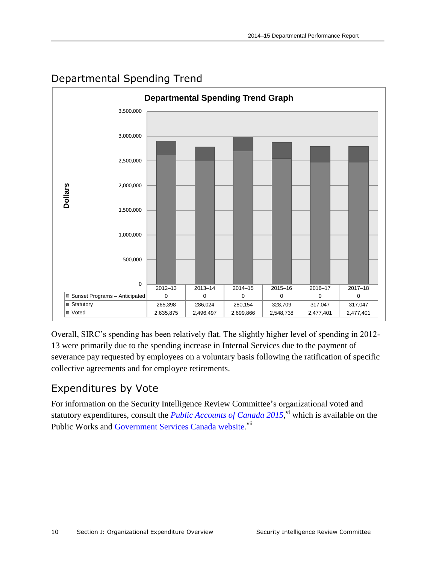

## <span id="page-13-0"></span>Departmental Spending Trend

Overall, SIRC's spending has been relatively flat. The slightly higher level of spending in 2012- 13 were primarily due to the spending increase in Internal Services due to the payment of severance pay requested by employees on a voluntary basis following the ratification of specific collective agreements and for employee retirements.

## <span id="page-13-1"></span>Expenditures by Vote

For information on the Security Intelligence Review Committee's organizational voted and statutory expenditures, consult the *Public Accounts of Canada* 2015,<sup>vi</sup> which is available on the Public Works and [Government Services Canada website](http://www.tpsgc-pwgsc.gc.ca/recgen/cpc-pac/index-eng.html).<sup>vii</sup>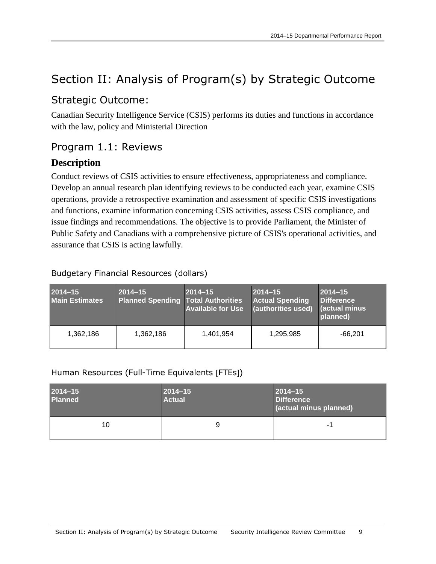## <span id="page-14-0"></span>Section II: Analysis of Program(s) by Strategic Outcome

### <span id="page-14-1"></span>Strategic Outcome:

Canadian Security Intelligence Service (CSIS) performs its duties and functions in accordance with the law, policy and Ministerial Direction

### <span id="page-14-2"></span>Program 1.1: Reviews

#### **Description**

Conduct reviews of CSIS activities to ensure effectiveness, appropriateness and compliance. Develop an annual research plan identifying reviews to be conducted each year, examine CSIS operations, provide a retrospective examination and assessment of specific CSIS investigations and functions, examine information concerning CSIS activities, assess CSIS compliance, and issue findings and recommendations. The objective is to provide Parliament, the Minister of Public Safety and Canadians with a comprehensive picture of CSIS's operational activities, and assurance that CSIS is acting lawfully.

#### Budgetary Financial Resources (dollars)

| 2014-15<br><b>Main Estimates</b> | $2014 - 15$<br><b>Planned Spending Total Authorities</b> | $2014 - 15$<br><b>Available for Use</b> | $2014 - 15$<br><b>Actual Spending</b><br><b>(authorities used)</b> | $2014 - 15$<br>Difference<br>  (actual minus <sup>1</sup><br>planned) |
|----------------------------------|----------------------------------------------------------|-----------------------------------------|--------------------------------------------------------------------|-----------------------------------------------------------------------|
| 1,362,186                        | 1,362,186                                                | 1.401.954                               | 1,295,985                                                          | $-66.201$                                                             |

#### Human Resources (Full-Time Equivalents [FTEs])

| $2014 - 15$<br><b>Planned</b> | $ 2014 - 15 $<br><b>Actual</b> | $ 2014 - 15 $<br>Difference<br>(actual minus planned) |  |
|-------------------------------|--------------------------------|-------------------------------------------------------|--|
| 10                            |                                | жH                                                    |  |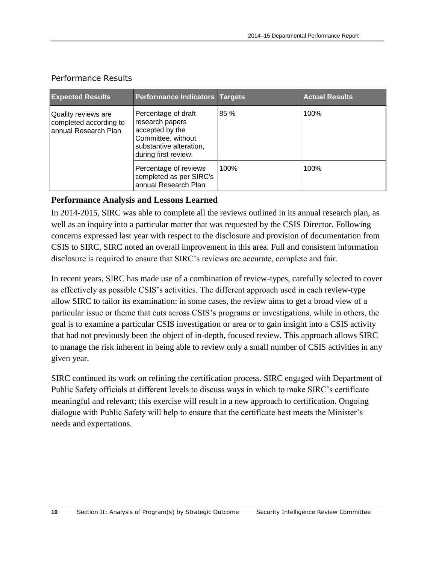| <b>Expected Results</b>                                                                                                                                                                                                                                                                  | <b>Performance Indicators Targets</b> |      | <b>Actual Results</b> |
|------------------------------------------------------------------------------------------------------------------------------------------------------------------------------------------------------------------------------------------------------------------------------------------|---------------------------------------|------|-----------------------|
| Percentage of draft<br>Quality reviews are<br>research papers<br>completed according to<br>accepted by the<br>annual Research Plan<br>Committee, without<br>substantive alteration,<br>during first review.<br>Percentage of reviews<br>completed as per SIRC's<br>annual Research Plan. |                                       | 85 % | 100%                  |
|                                                                                                                                                                                                                                                                                          |                                       | 100% | 100%                  |

#### Performance Results

#### **Performance Analysis and Lessons Learned**

In 2014-2015, SIRC was able to complete all the reviews outlined in its annual research plan, as well as an inquiry into a particular matter that was requested by the CSIS Director. Following concerns expressed last year with respect to the disclosure and provision of documentation from CSIS to SIRC, SIRC noted an overall improvement in this area. Full and consistent information disclosure is required to ensure that SIRC's reviews are accurate, complete and fair.

In recent years, SIRC has made use of a combination of review-types, carefully selected to cover as effectively as possible CSIS's activities. The different approach used in each review-type allow SIRC to tailor its examination: in some cases, the review aims to get a broad view of a particular issue or theme that cuts across CSIS's programs or investigations, while in others, the goal is to examine a particular CSIS investigation or area or to gain insight into a CSIS activity that had not previously been the object of in-depth, focused review. This approach allows SIRC to manage the risk inherent in being able to review only a small number of CSIS activities in any given year.

SIRC continued its work on refining the certification process. SIRC engaged with Department of Public Safety officials at different levels to discuss ways in which to make SIRC's certificate meaningful and relevant; this exercise will result in a new approach to certification. Ongoing dialogue with Public Safety will help to ensure that the certificate best meets the Minister's needs and expectations.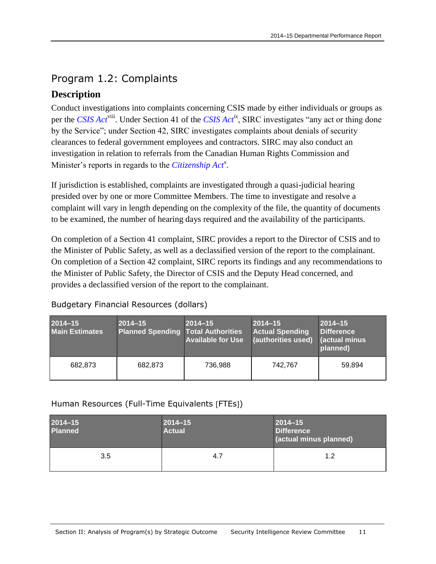## <span id="page-16-0"></span>Program 1.2: Complaints

### **Description**

Conduct investigations into complaints concerning CSIS made by either individuals or groups as per the *[CSIS Act](http://laws-lois.justice.gc.ca/eng/acts/C-23/)*<sup>viii</sup>. Under Section 41 of the *CSIS Act<sup>ix</sup>*, SIRC investigates "any act or thing done by the Service"; under Section 42, SIRC investigates complaints about denials of security clearances to federal government employees and contractors. SIRC may also conduct an investigation in relation to referrals from the Canadian Human Rights Commission and Minister's reports in regards to the *[Citizenship Act](http://laws-lois.justice.gc.ca/eng/acts/C-29/)<sup>x</sup>* .

If jurisdiction is established, complaints are investigated through a quasi-judicial hearing presided over by one or more Committee Members. The time to investigate and resolve a complaint will vary in length depending on the complexity of the file, the quantity of documents to be examined, the number of hearing days required and the availability of the participants.

On completion of a Section 41 complaint, SIRC provides a report to the Director of CSIS and to the Minister of Public Safety, as well as a declassified version of the report to the complainant. On completion of a Section 42 complaint, SIRC reports its findings and any recommendations to the Minister of Public Safety, the Director of CSIS and the Deputy Head concerned, and provides a declassified version of the report to the complainant.

| 2014-15<br><b>Main Estimates</b> | $2014 - 15$<br><b>Planned Spending Total Authorities</b> | $2014 - 15$<br><b>Available for Use</b> | $2014 - 15$<br><b>Actual Spending</b><br>(authorities used) | $2014 - 15$<br><b>Difference</b><br><b>actual minus</b><br>planned) |
|----------------------------------|----------------------------------------------------------|-----------------------------------------|-------------------------------------------------------------|---------------------------------------------------------------------|
| 682.873                          | 682,873                                                  | 736.988                                 | 742.767                                                     | 59.894                                                              |

#### Budgetary Financial Resources (dollars)

Human Resources (Full-Time Equivalents [FTEs])

| $2014 - 15$<br><b>Planned</b> | $ 2014 - 15$<br><b>Actual</b> | $2014 - 15$<br><b>Difference</b><br>(actual minus planned) |  |
|-------------------------------|-------------------------------|------------------------------------------------------------|--|
| 3.5                           | 4.7                           | 1.2                                                        |  |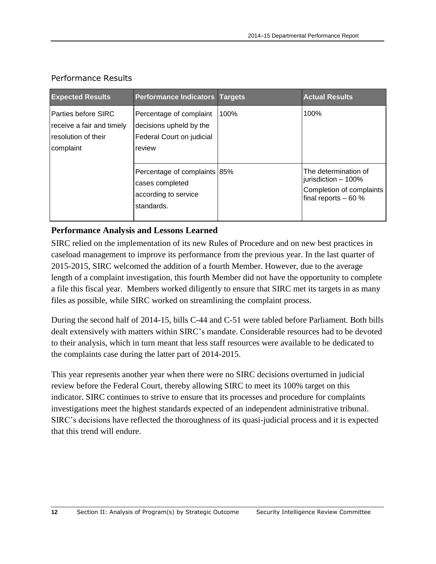| <b>Expected Results</b>                                                                 | <b>Performance Indicators Targets</b>                                                     |  | <b>Actual Results</b>                                                                           |
|-----------------------------------------------------------------------------------------|-------------------------------------------------------------------------------------------|--|-------------------------------------------------------------------------------------------------|
| l Parties before SIRC<br>receive a fair and timely<br>resolution of their<br> complaint | Percentage of complaint<br>decisions upheld by the<br>Federal Court on judicial<br>review |  | 100%                                                                                            |
|                                                                                         | Percentage of complaints 85%<br>cases completed<br>according to service<br>standards.     |  | The determination of<br>jurisdiction - 100%<br>Completion of complaints<br>final reports $-60%$ |

#### Performance Results

#### **Performance Analysis and Lessons Learned**

SIRC relied on the implementation of its new Rules of Procedure and on new best practices in caseload management to improve its performance from the previous year. In the last quarter of 2015-2015, SIRC welcomed the addition of a fourth Member. However, due to the average length of a complaint investigation, this fourth Member did not have the opportunity to complete a file this fiscal year. Members worked diligently to ensure that SIRC met its targets in as many files as possible, while SIRC worked on streamlining the complaint process.

During the second half of 2014-15, bills C-44 and C-51 were tabled before Parliament. Both bills dealt extensively with matters within SIRC's mandate. Considerable resources had to be devoted to their analysis, which in turn meant that less staff resources were available to be dedicated to the complaints case during the latter part of 2014-2015.

This year represents another year when there were no SIRC decisions overturned in judicial review before the Federal Court, thereby allowing SIRC to meet its 100% target on this indicator. SIRC continues to strive to ensure that its processes and procedure for complaints investigations meet the highest standards expected of an independent administrative tribunal. SIRC's decisions have reflected the thoroughness of its quasi-judicial process and it is expected that this trend will endure.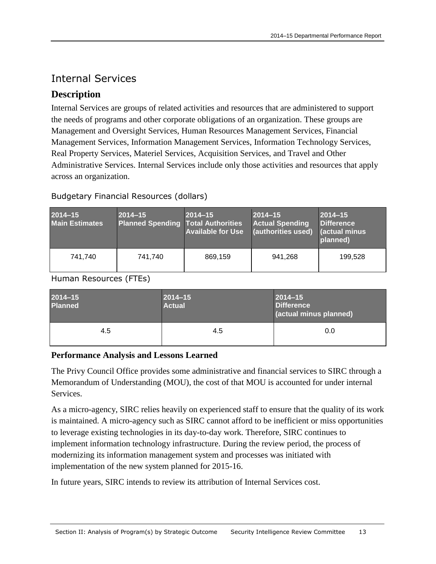## <span id="page-18-0"></span>Internal Services

### **Description**

Internal Services are groups of related activities and resources that are administered to support the needs of programs and other corporate obligations of an organization. These groups are Management and Oversight Services, Human Resources Management Services, Financial Management Services, Information Management Services, Information Technology Services, Real Property Services, Materiel Services, Acquisition Services, and Travel and Other Administrative Services. Internal Services include only those activities and resources that apply across an organization.

#### Budgetary Financial Resources (dollars)

| $2014 - 15$<br><b>Main Estimates</b> | $2014 - 15$<br><b>Planned Spending Total Authorities</b> | $2014 - 15$<br><b>Available for Use</b> | $2014 - 15$<br><b>Actual Spending</b><br>(authorities used) | $2014 - 15$<br>Difference<br><b>actual minus</b><br>planned) |
|--------------------------------------|----------------------------------------------------------|-----------------------------------------|-------------------------------------------------------------|--------------------------------------------------------------|
| 741.740                              | 741.740                                                  | 869,159                                 | 941,268                                                     | 199,528                                                      |

Human Resources (FTEs)

| 2014-15<br><b>Planned</b> | $2014 - 15$<br><b>Actual</b> | $2014 - 15$<br>Difference<br>(actual minus planned) |  |
|---------------------------|------------------------------|-----------------------------------------------------|--|
| 4.5                       | 4.5                          | 0.0                                                 |  |

#### **Performance Analysis and Lessons Learned**

The Privy Council Office provides some administrative and financial services to SIRC through a Memorandum of Understanding (MOU), the cost of that MOU is accounted for under internal Services.

As a micro-agency, SIRC relies heavily on experienced staff to ensure that the quality of its work is maintained. A micro-agency such as SIRC cannot afford to be inefficient or miss opportunities to leverage existing technologies in its day-to-day work. Therefore, SIRC continues to implement information technology infrastructure. During the review period, the process of modernizing its information management system and processes was initiated with implementation of the new system planned for 2015-16.

In future years, SIRC intends to review its attribution of Internal Services cost.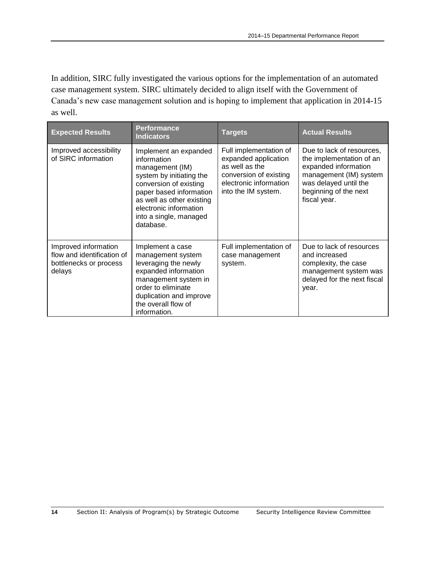In addition, SIRC fully investigated the various options for the implementation of an automated case management system. SIRC ultimately decided to align itself with the Government of Canada's new case management solution and is hoping to implement that application in 2014-15 as well.

| <b>Expected Results</b>                                                                | <b>Performance</b><br><b>Indicators</b>                                                                                                                                                                                                | <b>Targets</b>                                                                                                                              | <b>Actual Results</b>                                                                                                                                                     |
|----------------------------------------------------------------------------------------|----------------------------------------------------------------------------------------------------------------------------------------------------------------------------------------------------------------------------------------|---------------------------------------------------------------------------------------------------------------------------------------------|---------------------------------------------------------------------------------------------------------------------------------------------------------------------------|
| Improved accessibility<br>of SIRC information                                          | Implement an expanded<br>information<br>management (IM)<br>system by initiating the<br>conversion of existing<br>paper based information<br>as well as other existing<br>electronic information<br>into a single, managed<br>database. | Full implementation of<br>expanded application<br>as well as the<br>conversion of existing<br>electronic information<br>into the IM system. | Due to lack of resources,<br>the implementation of an<br>expanded information<br>management (IM) system<br>was delayed until the<br>beginning of the next<br>fiscal year. |
| Improved information<br>flow and identification of<br>bottlenecks or process<br>delays | Implement a case<br>management system<br>leveraging the newly<br>expanded information<br>management system in<br>order to eliminate<br>duplication and improve<br>the overall flow of<br>information.                                  | Full implementation of<br>case management<br>system.                                                                                        | Due to lack of resources<br>and increased<br>complexity, the case<br>management system was<br>delayed for the next fiscal<br>year.                                        |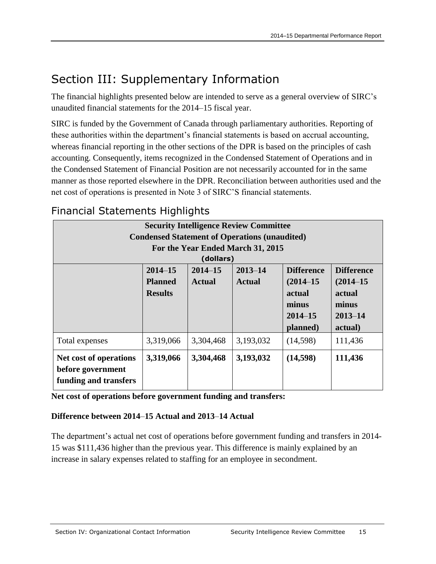## <span id="page-20-0"></span>Section III: Supplementary Information

The financial highlights presented below are intended to serve as a general overview of SIRC's unaudited financial statements for the 2014–15 fiscal year.

SIRC is funded by the Government of Canada through parliamentary authorities. Reporting of these authorities within the department's financial statements is based on accrual accounting, whereas financial reporting in the other sections of the DPR is based on the principles of cash accounting. Consequently, items recognized in the Condensed Statement of Operations and in the Condensed Statement of Financial Position are not necessarily accounted for in the same manner as those reported elsewhere in the DPR. Reconciliation between authorities used and the net cost of operations is presented in Note 3 of SIRC'S financial statements.

|                                                                                                                                                                                                                                                                                        | <b>Security Intelligence Review Committee</b> |           |                                                      |          |         |  |
|----------------------------------------------------------------------------------------------------------------------------------------------------------------------------------------------------------------------------------------------------------------------------------------|-----------------------------------------------|-----------|------------------------------------------------------|----------|---------|--|
|                                                                                                                                                                                                                                                                                        |                                               |           | <b>Condensed Statement of Operations (unaudited)</b> |          |         |  |
|                                                                                                                                                                                                                                                                                        | For the Year Ended March 31, 2015             |           |                                                      |          |         |  |
|                                                                                                                                                                                                                                                                                        |                                               | (dollars) |                                                      |          |         |  |
| $2014 - 15$<br>$2014 - 15$<br>$2013 - 14$<br><b>Difference</b><br><b>Difference</b><br>$(2014 - 15)$<br><b>Planned</b><br><b>Actual</b><br>$(2014 - 15)$<br><b>Actual</b><br><b>Results</b><br>actual<br>actual<br>minus<br>minus<br>$2014 - 15$<br>$2013 - 14$<br>planned)<br>actual) |                                               |           |                                                      |          |         |  |
| Total expenses                                                                                                                                                                                                                                                                         | 3,319,066                                     | 3,304,468 | 3,193,032                                            | (14,598) | 111,436 |  |
| Net cost of operations<br>before government<br>funding and transfers                                                                                                                                                                                                                   | 3,319,066                                     | 3,304,468 | 3,193,032                                            | (14,598) | 111,436 |  |

## <span id="page-20-1"></span>Financial Statements Highlights

**Net cost of operations before government funding and transfers:**

#### **Difference between 2014**–**15 Actual and 2013**–**14 Actual**

The department's actual net cost of operations before government funding and transfers in 2014- 15 was \$111,436 higher than the previous year. This difference is mainly explained by an increase in salary expenses related to staffing for an employee in secondment.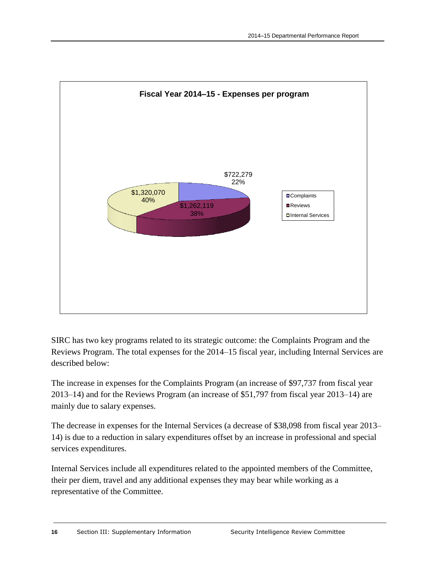

SIRC has two key programs related to its strategic outcome: the Complaints Program and the Reviews Program. The total expenses for the 2014–15 fiscal year, including Internal Services are described below:

The increase in expenses for the Complaints Program (an increase of \$97,737 from fiscal year 2013–14) and for the Reviews Program (an increase of \$51,797 from fiscal year 2013–14) are mainly due to salary expenses.

The decrease in expenses for the Internal Services (a decrease of \$38,098 from fiscal year 2013– 14) is due to a reduction in salary expenditures offset by an increase in professional and special services expenditures.

Internal Services include all expenditures related to the appointed members of the Committee, their per diem, travel and any additional expenses they may bear while working as a representative of the Committee.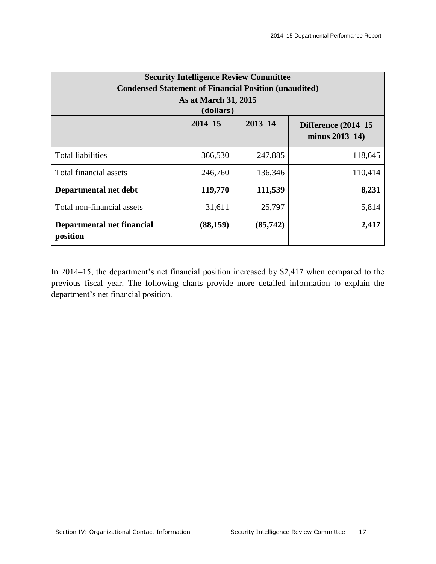| <b>Security Intelligence Review Committee</b><br><b>Condensed Statement of Financial Position (unaudited)</b><br>As at March 31, 2015 |           |         |         |  |  |
|---------------------------------------------------------------------------------------------------------------------------------------|-----------|---------|---------|--|--|
|                                                                                                                                       | (dollars) |         |         |  |  |
| $2013 - 14$<br>$2014 - 15$<br>Difference $(2014-15)$<br>minus $2013 - 14$ )                                                           |           |         |         |  |  |
| <b>Total liabilities</b>                                                                                                              | 366,530   | 247,885 | 118,645 |  |  |
| <b>Total financial assets</b>                                                                                                         | 246,760   | 136,346 | 110,414 |  |  |
| Departmental net debt                                                                                                                 | 119,770   | 111,539 | 8,231   |  |  |
| Total non-financial assets                                                                                                            | 31,611    | 25,797  | 5,814   |  |  |
| 2,417<br>Departmental net financial<br>(88, 159)<br>(85,742)<br>position                                                              |           |         |         |  |  |

In 2014–15, the department's net financial position increased by \$2,417 when compared to the previous fiscal year. The following charts provide more detailed information to explain the department's net financial position.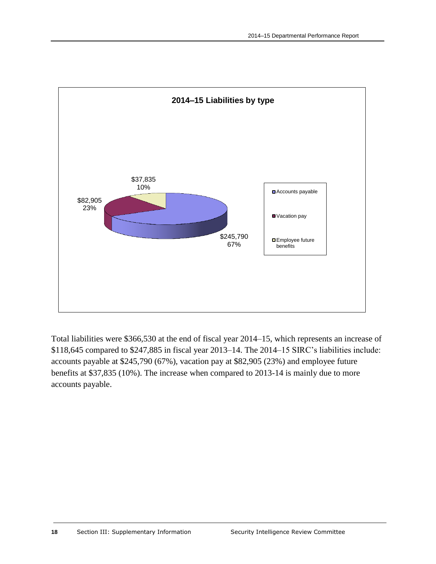

Total liabilities were \$366,530 at the end of fiscal year 2014–15, which represents an increase of \$118,645 compared to \$247,885 in fiscal year 2013–14. The 2014–15 SIRC's liabilities include: accounts payable at \$245,790 (67%), vacation pay at \$82,905 (23%) and employee future benefits at \$37,835 (10%). The increase when compared to 2013-14 is mainly due to more accounts payable.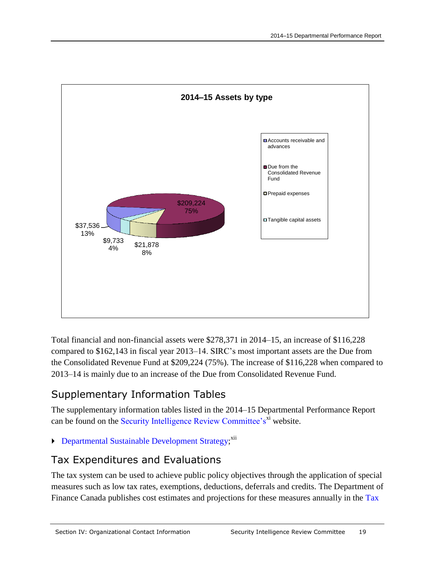

Total financial and non-financial assets were \$278,371 in 2014–15, an increase of \$116,228 compared to \$162,143 in fiscal year 2013–14. SIRC's most important assets are the Due from the Consolidated Revenue Fund at \$209,224 (75%). The increase of \$116,228 when compared to 2013–14 is mainly due to an increase of the Due from Consolidated Revenue Fund.

## <span id="page-24-0"></span>Supplementary Information Tables

The supplementary information tables listed in the 2014–15 Departmental Performance Report can be found on the [Security Intelligence Review Committee's](http://www.sirc-csars.gc.ca/opbapb/dprrmr/index-eng.html)<sup>xi</sup> website.

[Departmental Sustainable Development Strategy;](http://www.sirc-csars.gc.ca/opbapb/dprrmr/index-eng.html)<sup>xii</sup>

## <span id="page-24-1"></span>Tax Expenditures and Evaluations

The tax system can be used to achieve public policy objectives through the application of special measures such as low tax rates, exemptions, deductions, deferrals and credits. The Department of Finance Canada publishes cost estimates and projections for these measures annually in the Tax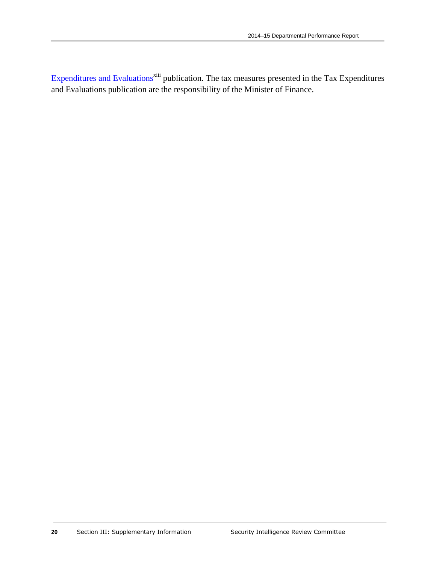[Expenditures and Evaluations](http://www.fin.gc.ca/purl/taxexp-eng.asp)<sup>xiii</sup> publication. The tax measures presented in the Tax Expenditures and Evaluations publication are the responsibility of the Minister of Finance.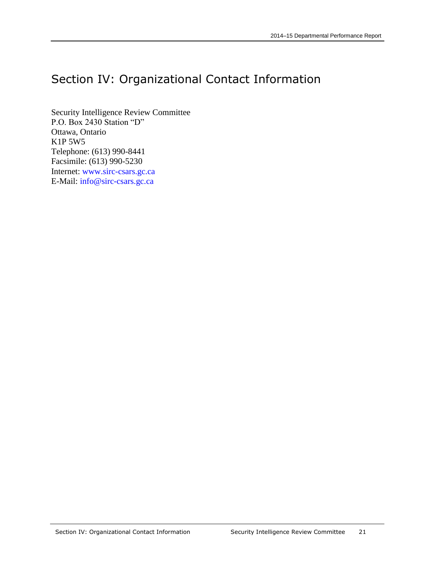## <span id="page-26-0"></span>Section IV: Organizational Contact Information

Security Intelligence Review Committee P.O. Box 2430 Station "D" Ottawa, Ontario K1P 5W5 Telephone: (613) 990-8441 Facsimile: (613) 990-5230 Internet: [www.sirc-csars.gc.ca](http://www.sirc-csars.gc.ca/) E-Mail: [info@sirc-csars.gc.ca](mailto:info@sirc-csars.gc.ca)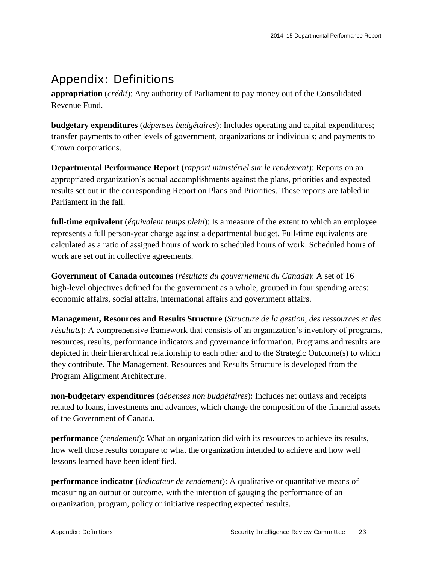## <span id="page-28-0"></span>Appendix: Definitions

**appropriation** (*crédit*): Any authority of Parliament to pay money out of the Consolidated Revenue Fund.

**budgetary expenditures** (*dépenses budgétaires*): Includes operating and capital expenditures; transfer payments to other levels of government, organizations or individuals; and payments to Crown corporations.

**Departmental Performance Report** (*rapport ministériel sur le rendement*): Reports on an appropriated organization's actual accomplishments against the plans, priorities and expected results set out in the corresponding Report on Plans and Priorities. These reports are tabled in Parliament in the fall.

**full-time equivalent** (*équivalent temps plein*): Is a measure of the extent to which an employee represents a full person-year charge against a departmental budget. Full-time equivalents are calculated as a ratio of assigned hours of work to scheduled hours of work. Scheduled hours of work are set out in collective agreements.

**Government of Canada outcomes** (*résultats du gouvernement du Canada*): A set of 16 high-level objectives defined for the government as a whole, grouped in [four spending areas:](http://www.tbs-sct.gc.ca/ppg-cpr/frame-cadre-eng.aspx) economic affairs, social affairs, international affairs and government affairs.

**Management, Resources and Results Structure** (*Structure de la gestion, des ressources et des résultats*): A comprehensive framework that consists of an organization's inventory of programs, resources, results, performance indicators and governance information. Programs and results are depicted in their hierarchical relationship to each other and to the Strategic Outcome(s) to which they contribute. The Management, Resources and Results Structure is developed from the Program Alignment Architecture.

**non-budgetary expenditures** (*dépenses non budgétaires*): Includes net outlays and receipts related to loans, investments and advances, which change the composition of the financial assets of the Government of Canada.

**performance** (*rendement*): What an organization did with its resources to achieve its results, how well those results compare to what the organization intended to achieve and how well lessons learned have been identified.

**performance indicator** (*indicateur de rendement*): A qualitative or quantitative means of measuring an output or outcome, with the intention of gauging the performance of an organization, program, policy or initiative respecting expected results.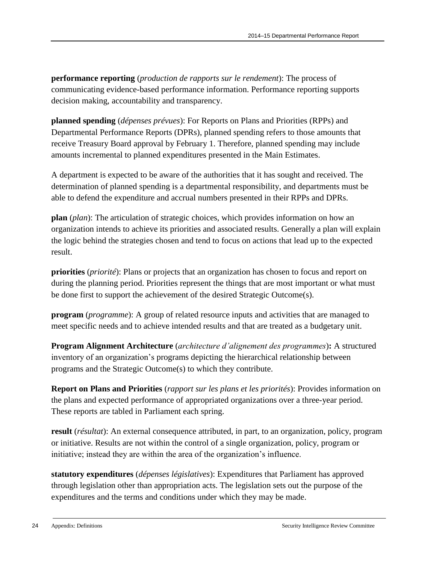**performance reporting** (*production de rapports sur le rendement*): The process of communicating evidence-based performance information. Performance reporting supports decision making, accountability and transparency.

**planned spending** (*dépenses prévues*): For Reports on Plans and Priorities (RPPs) and Departmental Performance Reports (DPRs), planned spending refers to those amounts that receive Treasury Board approval by February 1. Therefore, planned spending may include amounts incremental to planned expenditures presented in the Main Estimates.

A department is expected to be aware of the authorities that it has sought and received. The determination of planned spending is a departmental responsibility, and departments must be able to defend the expenditure and accrual numbers presented in their RPPs and DPRs.

**plan** (*plan*): The articulation of strategic choices, which provides information on how an organization intends to achieve its priorities and associated results. Generally a plan will explain the logic behind the strategies chosen and tend to focus on actions that lead up to the expected result.

**priorities** (*priorité*): Plans or projects that an organization has chosen to focus and report on during the planning period. Priorities represent the things that are most important or what must be done first to support the achievement of the desired Strategic Outcome(s).

**program** (*programme*): A group of related resource inputs and activities that are managed to meet specific needs and to achieve intended results and that are treated as a budgetary unit.

**Program Alignment Architecture** (*architecture d'alignement des programmes*)**:** A structured inventory of an organization's programs depicting the hierarchical relationship between programs and the Strategic Outcome(s) to which they contribute.

**Report on Plans and Priorities** (*rapport sur les plans et les priorités*): Provides information on the plans and expected performance of appropriated organizations over a three-year period. These reports are tabled in Parliament each spring.

**result** (*résultat*): An external consequence attributed, in part, to an organization, policy, program or initiative. Results are not within the control of a single organization, policy, program or initiative; instead they are within the area of the organization's influence.

**statutory expenditures** (*dépenses législatives*): Expenditures that Parliament has approved through legislation other than appropriation acts. The legislation sets out the purpose of the expenditures and the terms and conditions under which they may be made.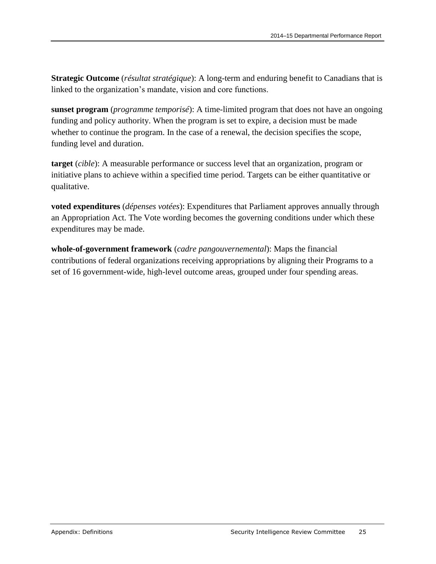**Strategic Outcome** (*résultat stratégique*): A long-term and enduring benefit to Canadians that is linked to the organization's mandate, vision and core functions.

**sunset program** (*programme temporisé*): A time-limited program that does not have an ongoing funding and policy authority. When the program is set to expire, a decision must be made whether to continue the program. In the case of a renewal, the decision specifies the scope, funding level and duration.

**target** (*cible*): A measurable performance or success level that an organization, program or initiative plans to achieve within a specified time period. Targets can be either quantitative or qualitative.

**voted expenditures** (*dépenses votées*): Expenditures that Parliament approves annually through an Appropriation Act. The Vote wording becomes the governing conditions under which these expenditures may be made.

**whole-of-government framework** (*cadre pangouvernemental*): Maps the financial contributions of federal organizations receiving appropriations by aligning their Programs to a set of 16 government-wide, high-level outcome areas, grouped under four spending areas.